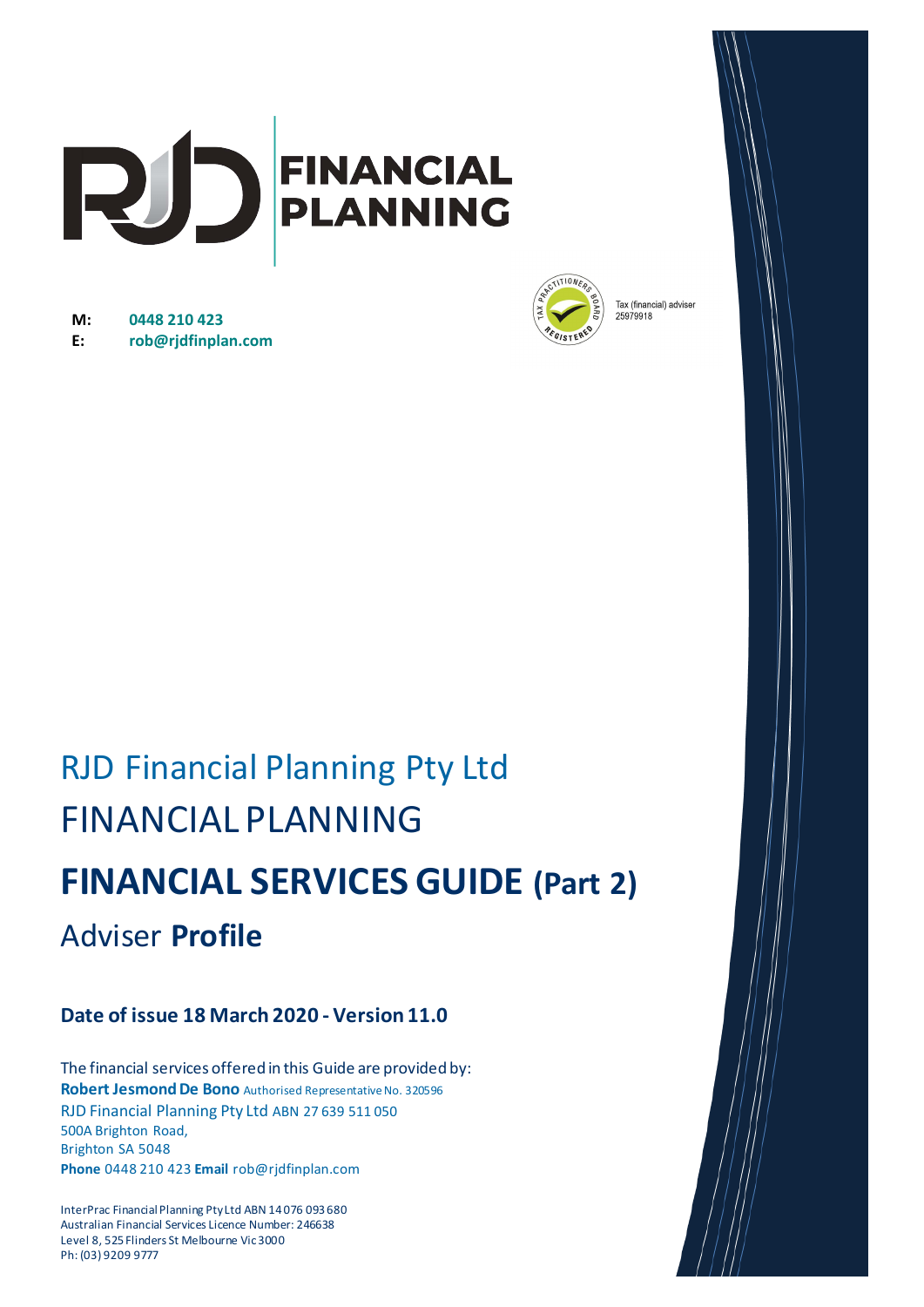

**M: 0448 210 423 E: rob@rjdfinplan.com**



Tax (financial) adviser 25979918

# RJD Financial Planning Pty Ltd FINANCIAL PLANNING **FINANCIAL SERVICES GUIDE (Part 2)**  Adviser **Profile**

## **Date of issue 18 March 2020 - Version 11.0**

The financial services offered in this Guide are provided by: **Robert Jesmond De Bono** Authorised Representative No. 320596 RJD Financial Planning Pty Ltd ABN 27 639 511 050 500A Brighton Road, Brighton SA 5048 **Phone** 0448 210 423 **Email** rob@rjdfinplan.com

InterPrac Financial Planning Pty Ltd ABN 14 076 093 680 Australian Financial Services Licence Number: 246638 Level 8, 525 Flinders St Melbourne Vic 3000 Ph: (03) 9209 9777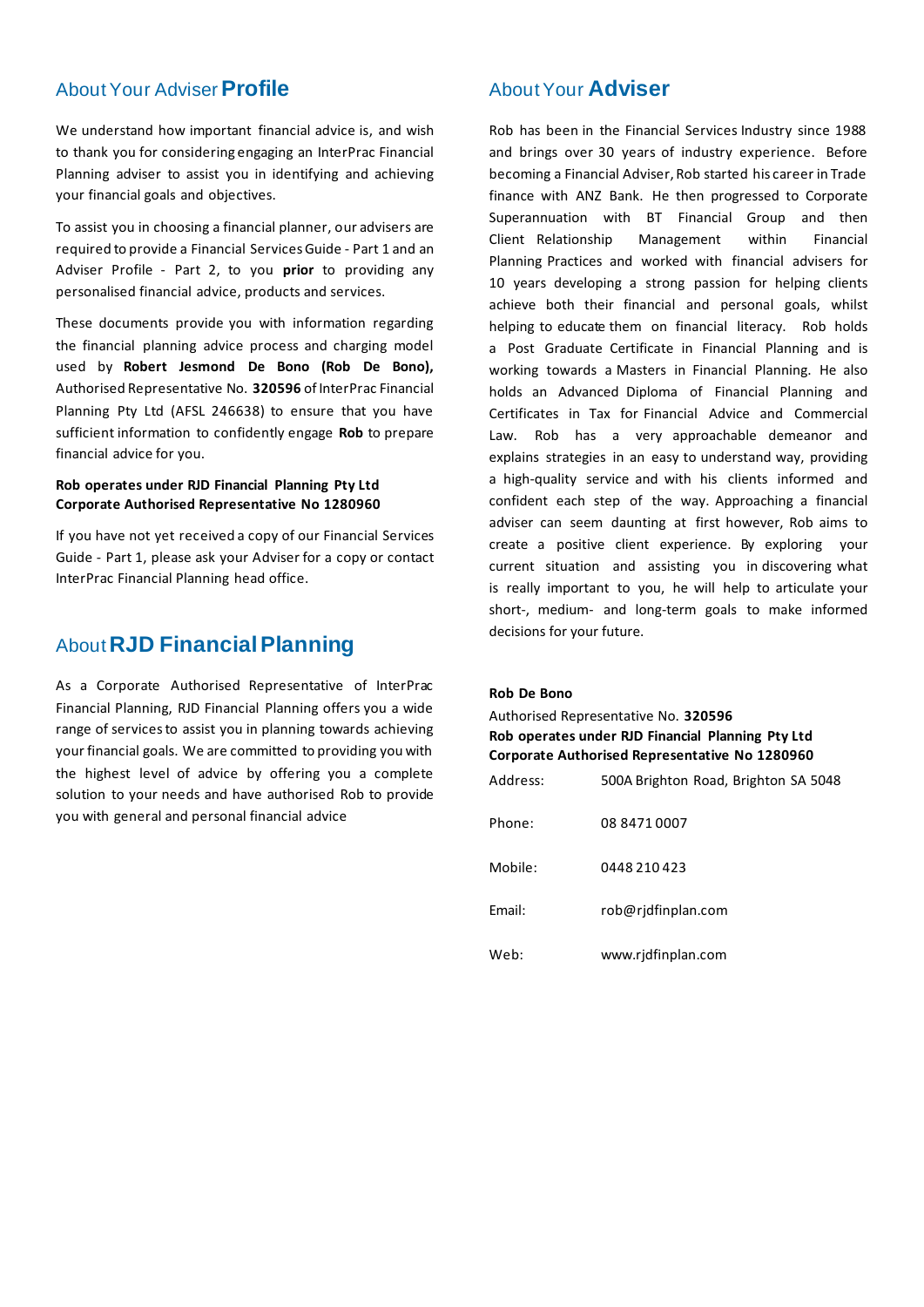### About Your Adviser **Profile**

We understand how important financial advice is, and wish to thank you for considering engaging an InterPrac Financial Planning adviser to assist you in identifying and achieving your financial goals and objectives.

To assist you in choosing a financial planner, our advisers are required to provide a Financial Services Guide - Part 1 and an Adviser Profile - Part 2, to you **prior** to providing any personalised financial advice, products and services.

These documents provide you with information regarding the financial planning advice process and charging model used by **Robert Jesmond De Bono (Rob De Bono),**  Authorised Representative No. **320596** of InterPrac Financial Planning Pty Ltd (AFSL 246638) to ensure that you have sufficient information to confidently engage **Rob** to prepare financial advice for you.

#### **Rob operates under RJD Financial Planning Pty Ltd Corporate Authorised Representative No 1280960**

If you have not yet received a copy of our Financial Services Guide - Part 1, please ask your Adviser for a copy or contact InterPrac Financial Planning head office.

# About **RJD Financial Planning**

As a Corporate Authorised Representative of InterPrac Financial Planning, RJD Financial Planning offers you a wide range of services to assist you in planning towards achieving your financial goals. We are committed to providing you with the highest level of advice by offering you a complete solution to your needs and have authorised Rob to provide you with general and personal financial advice

### About Your **Adviser**

Rob has been in the Financial Services Industry since 1988 and brings over 30 years of industry experience. Before becoming a Financial Adviser, Rob started his career in Trade finance with ANZ Bank. He then progressed to Corporate Superannuation with BT Financial Group and then Client Relationship Management within Financial Planning Practices and worked with financial advisers for 10 years developing a strong passion for helping clients achieve both their financial and personal goals, whilst helping to educate them on financial literacy. Rob holds a Post Graduate Certificate in Financial Planning and is working towards a Masters in Financial Planning. He also holds an Advanced Diploma of Financial Planning and Certificates in Tax for Financial Advice and Commercial Law. Rob has a very approachable demeanor and explains strategies in an easy to understand way, providing a high-quality service and with his clients informed and confident each step of the way. Approaching a financial adviser can seem daunting at first however, Rob aims to create a positive client experience. By exploring your current situation and assisting you in discovering what is really important to you, he will help to articulate your short-, medium- and long-term goals to make informed decisions for your future.

#### **Rob De Bono**

Authorised Representative No. **320596 Rob operates under RJD Financial Planning Pty Ltd Corporate Authorised Representative No 1280960** Address: 500A Brighton Road, Brighton SA 5048 Phone: 08 8471 0007 Mobile: 0448 210 423 Email: rob@rjdfinplan.com Web: www.rjdfinplan.com